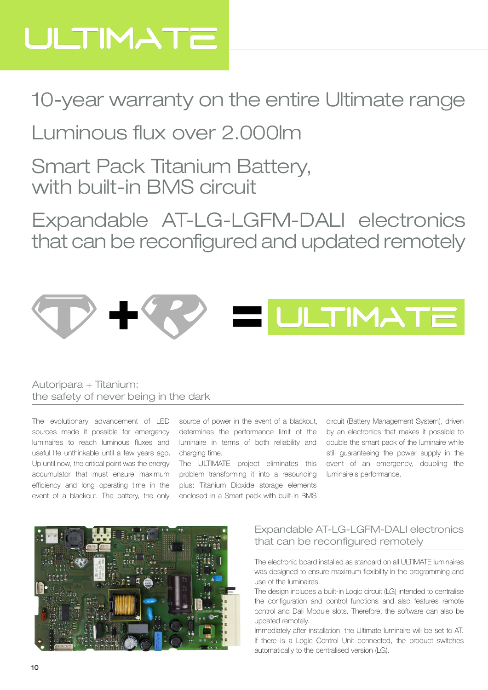# ULTIMATE

### 10-year warranty on the entire Ultimate range

### Luminous flux over 2.000lm

Smart Pack Titanium Battery, with built-in BMS circuit

Expandable AT-LG-LGFM-DALI electronics that can be reconfigured and updated remotely



#### Autoripara + Titanium: the safety of never being in the dark

The evolutionary advancement of LED sources made it possible for emergency luminaires to reach luminous fluxes and useful life unthinkable until a few years ago. Up until now, the critical point was the energy accumulator that must ensure maximum efficiency and long operating time in the event of a blackout. The battery, the only

source of power in the event of a blackout, determines the performance limit of the luminaire in terms of both reliability and charging time.

The ULTIMATE project eliminates this problem transforming it into a resounding plus: Titanium Dioxide storage elements enclosed in a Smart pack with built-in BMS

circuit (Battery Management System), driven by an electronics that makes it possible to double the smart pack of the luminaire while still guaranteeing the power supply in the event of an emergency, doubling the luminaire's performance.



### Expandable AT-LG-LGFM-DALI electronics that can be reconfigured remotely

The electronic board installed as standard on all ULTIMATE luminaires was designed to ensure maximum flexibility in the programming and use of the luminaires.

The design includes a built-in Logic circuit (LG) intended to centralise the configuration and control functions and also features remote control and Dali Module slots. Therefore, the software can also be updated remotely.

Immediately after installation, the Ultimate luminaire will be set to AT. If there is a Logic Control Unit connected, the product switches automatically to the centralised version (LG).